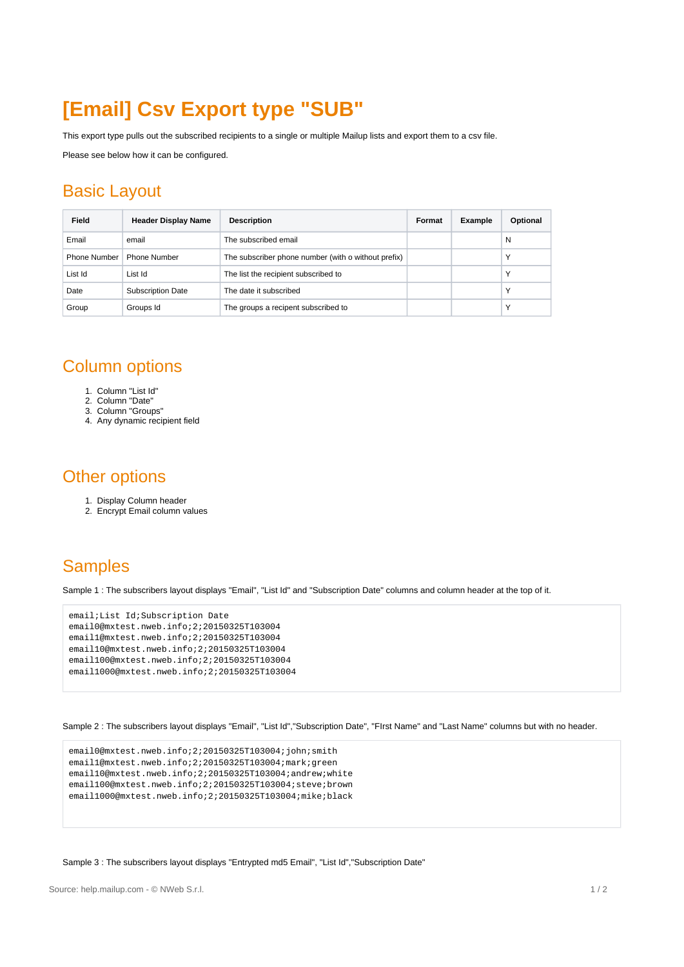# **[Email] Csv Export type "SUB"**

This export type pulls out the subscribed recipients to a single or multiple Mailup lists and export them to a csv file.

Please see below how it can be configured.

#### Basic Layout

| Field        | <b>Header Display Name</b> | <b>Description</b>                                  | Format | <b>Example</b> | Optional |
|--------------|----------------------------|-----------------------------------------------------|--------|----------------|----------|
| Email        | email                      | The subscribed email                                |        |                | N        |
| Phone Number | <b>Phone Number</b>        | The subscriber phone number (with o without prefix) |        |                | Υ        |
| List Id      | List Id                    | The list the recipient subscribed to                |        |                | Υ        |
| Date         | <b>Subscription Date</b>   | The date it subscribed                              |        |                | Υ        |
| Group        | Groups Id                  | The groups a recipent subscribed to                 |        |                | Υ        |

## Column options

- 1. Column "List Id"
- 2. Column "Date"
- 3. Column "Groups" 4. Any dynamic recipient field
- Other options
	- 1. Display Column header
	- 2. Encrypt Email column values

## **Samples**

Sample 1 : The subscribers layout displays "Email", "List Id" and "Subscription Date" columns and column header at the top of it.

```
email;List Id;Subscription Date
email0@mxtest.nweb.info;2;20150325T103004
email1@mxtest.nweb.info;2;20150325T103004
email10@mxtest.nweb.info;2;20150325T103004
email100@mxtest.nweb.info;2;20150325T103004
email1000@mxtest.nweb.info;2;20150325T103004
```
Sample 2 : The subscribers layout displays "Email", "List Id","Subscription Date", "FIrst Name" and "Last Name" columns but with no header.

```
email0@mxtest.nweb.info;2;20150325T103004;john;smith
email1@mxtest.nweb.info;2;20150325T103004;mark;green
email10@mxtest.nweb.info;2;20150325T103004;andrew;white
email100@mxtest.nweb.info;2;20150325T103004;steve;brown
email1000@mxtest.nweb.info;2;20150325T103004;mike;black
```
#### Sample 3 : The subscribers layout displays "Entrypted md5 Email", "List Id","Subscription Date"